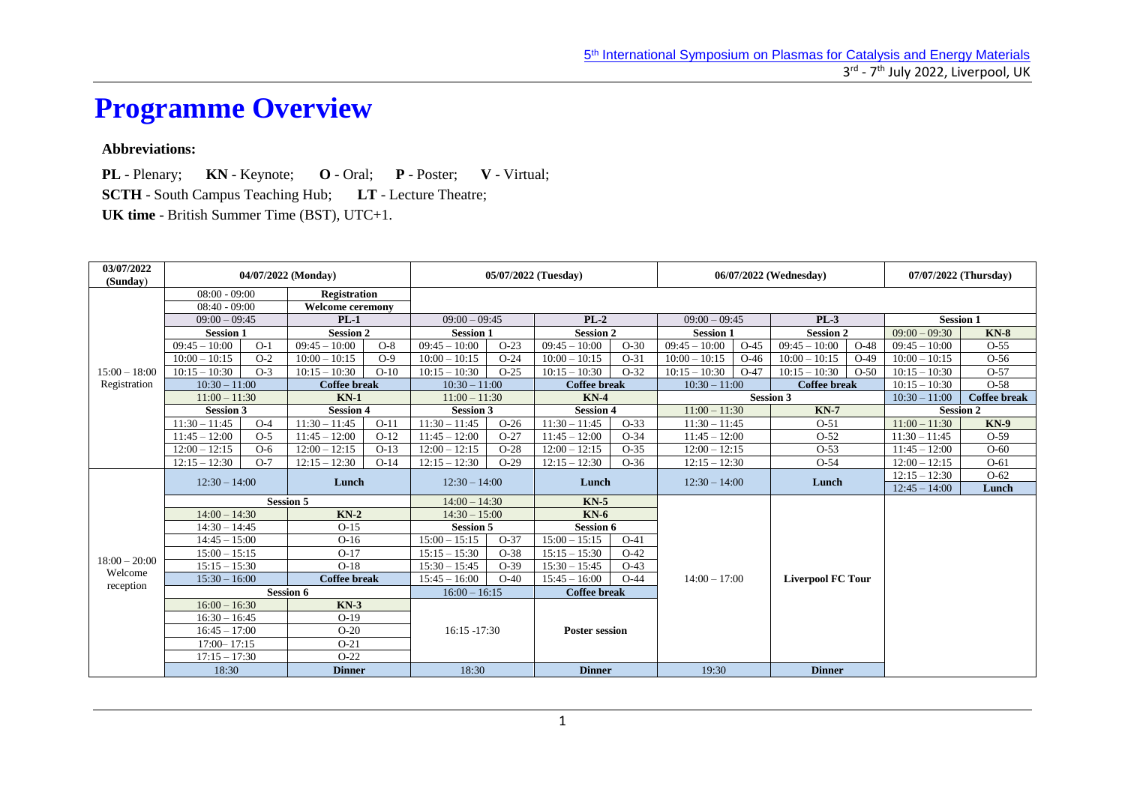# **Programme Overview**

### **Abbreviations:**

**PL** - Plenary; **KN** - Keynote; **O** - Oral; **P** - Poster; **V** - Virtual; **SCTH** - South Campus Teaching Hub; **LT** - Lecture Theatre; **UK time** - British Summer Time (BST), UTC+1.

| 03/07/2022<br>(Sunday) | 04/07/2022 (Monday) |       |                         |                 |                          | 05/07/2022 (Tuesday) |                       |        |                  | 06/07/2022 (Wednesday) |                          | 07/07/2022 (Thursday) |                     |             |
|------------------------|---------------------|-------|-------------------------|-----------------|--------------------------|----------------------|-----------------------|--------|------------------|------------------------|--------------------------|-----------------------|---------------------|-------------|
|                        | $08:00 - 09:00$     |       | <b>Registration</b>     |                 |                          |                      |                       |        |                  |                        |                          |                       |                     |             |
|                        | $08:40 - 09:00$     |       | <b>Welcome ceremony</b> |                 |                          |                      |                       |        |                  |                        |                          |                       |                     |             |
|                        | $09:00 - 09:45$     |       | $PL-1$                  |                 | $09:00 - 09:45$          |                      | $PL-2$                |        | $09:00 - 09:45$  |                        | $PL-3$                   |                       | <b>Session 1</b>    |             |
|                        | <b>Session 1</b>    |       | <b>Session 2</b>        |                 | <b>Session 1</b>         |                      | <b>Session 2</b>      |        | <b>Session 1</b> |                        | <b>Session 2</b>         |                       | $09:00 - 09:30$     | $KN-8$      |
|                        | $09:45 - 10:00$     | $O-1$ | $09:45 - 10:00$         | $O-8$           | $09:45 - 10:00$          | $O-23$               | $09:45 - 10:00$       | $O-30$ | $09:45 - 10:00$  | $O-45$                 | $09:45 - 10:00$          | $O-48$                | $09:45 - 10:00$     | $O-55$      |
|                        | $10:00 - 10:15$     | $O-2$ | $10:00 - 10:15$         | $O-9$           | $10:00 - 10:15$          | $O-24$               | $10:00 - 10:15$       | $O-31$ | $10:00 - 10:15$  | $O-46$                 | $10:00 - 10:15$          | $O-49$                | $10:00 - 10:15$     | $O-56$      |
| $15:00 - 18:00$        | $10:15 - 10:30$     | $O-3$ | $10:15 - 10:30$         | $O-10$          | $10:15 - 10:30$          | $O-25$               | $10:15 - 10:30$       | $O-32$ | $10:15 - 10:30$  | $O-47$                 | $10:15 - 10:30$          | $O-50$                | $10:15 - 10:30$     | $O-57$      |
| Registration           | $10:30 - 11:00$     |       | <b>Coffee break</b>     |                 | $10:30 - 11:00$          |                      | <b>Coffee break</b>   |        | $10:30 - 11:00$  |                        | <b>Coffee break</b>      |                       | $10:15 - 10:30$     | $O-58$      |
|                        | $11:00 - 11:30$     |       | $KN-1$                  |                 | $11:00 - 11:30$          |                      | $KN-4$                |        | <b>Session 3</b> |                        |                          | $10:30 - 11:00$       | <b>Coffee break</b> |             |
|                        | <b>Session 3</b>    |       | <b>Session 4</b>        |                 | <b>Session 3</b>         |                      | <b>Session 4</b>      |        | $11:00 - 11:30$  |                        | $KN-7$                   |                       | <b>Session 2</b>    |             |
|                        | $11:30 - 11:45$     | $O-4$ | $11:30 - 11:45$         | $O-11$          | $11:30 - 11:45$          | $O-26$               | $11:30 - 11:45$       | $O-33$ | $11:30 - 11:45$  |                        | $O-51$                   |                       | $11:00 - 11:30$     | <b>KN-9</b> |
|                        | $11:45 - 12:00$     | $O-5$ | $11:45 - 12:00$         | $O-12$          | $11:45 - 12:00$          | $O-27$               | $11:45 - 12:00$       | $O-34$ | $11:45 - 12:00$  |                        | $O-52$                   |                       | $11:30 - 11:45$     | $O-59$      |
|                        | $12:00 - 12:15$     | $O-6$ | $-12:15$<br>12:00       | $O-13$          | 12:00<br>$-12:15$        | $O-28$               | $12:00 - 12:15$       | $O-35$ | $12:00 - 12:15$  |                        | $O-53$                   |                       | $11:45 - 12:00$     | $O-60$      |
|                        | $12:15 - 12:30$     | $O-7$ | $12:15 - 12:30$         | $O-14$          | $12:15 - 12:30$          | $O-29$               | $12:15 - 12:30$       | $O-36$ | $12:15 - 12:30$  |                        | $O-54$                   |                       | $12:00 - 12:15$     | $O-61$      |
|                        | $12:30 - 14:00$     |       | Lunch                   |                 | $12:30 - 14:00$<br>Lunch |                      | $12:30 - 14:00$       |        | Lunch            |                        | $12:15 - 12:30$          | $O-62$                |                     |             |
|                        |                     |       |                         |                 |                          |                      |                       |        |                  |                        |                          |                       | $12:45 - 14:00$     | Lunch       |
|                        | <b>Session 5</b>    |       |                         | $14:00 - 14:30$ |                          | $KN-5$               |                       |        |                  |                        |                          |                       |                     |             |
|                        | $14:00 - 14:30$     |       | $KN-2$                  |                 | $14:30 - 15:00$          |                      | $KN-6$                |        |                  |                        |                          |                       |                     |             |
|                        | $14:30 - 14:45$     |       | $O-15$                  |                 | <b>Session 5</b>         |                      | <b>Session 6</b>      |        |                  |                        |                          |                       |                     |             |
|                        | $14:45 - 15:00$     |       | $O-16$                  |                 | $15:00 - 15:15$          | $O-37$               | $15:00 - 15:15$       | $O-41$ |                  |                        |                          |                       |                     |             |
| $18:00 - 20:00$        | $15:00 - 15:15$     |       | $O-17$                  |                 | $15:15 - 15:30$          | $O-38$               | $15:15 - 15:30$       | $O-42$ |                  |                        |                          |                       |                     |             |
| Welcome                | $15:15 - 15:30$     |       | $O-18$                  |                 | $15:30 - 15:45$          | $O-39$               | $15:30 - 15:45$       | $O-43$ |                  |                        |                          |                       |                     |             |
| reception              | $15:30 - 16:00$     |       | <b>Coffee break</b>     |                 | $15:45 - 16:00$          | $O-40$               | $15:45 - 16:00$       | $O-44$ | $14:00 - 17:00$  |                        | <b>Liverpool FC Tour</b> |                       |                     |             |
|                        |                     |       | <b>Session 6</b>        |                 | $16:00 - 16:15$          |                      | <b>Coffee break</b>   |        |                  |                        |                          |                       |                     |             |
|                        | $16:00 - 16:30$     |       | $KN-3$                  |                 |                          |                      |                       |        |                  |                        |                          |                       |                     |             |
|                        | $16:30 - 16:45$     |       | $O-19$                  |                 |                          |                      |                       |        |                  |                        |                          |                       |                     |             |
|                        | $16:45 - 17:00$     |       | $O-20$                  |                 | $16:15 - 17:30$          |                      | <b>Poster session</b> |        |                  |                        |                          |                       |                     |             |
|                        | $17:00 - 17:15$     |       | $O-21$                  |                 |                          |                      |                       |        |                  |                        |                          |                       |                     |             |
|                        | $17:15 - 17:30$     |       | $O-22$                  |                 |                          |                      |                       |        |                  |                        |                          |                       |                     |             |
|                        | 18:30               |       | <b>Dinner</b>           |                 | 18:30                    |                      | <b>Dinner</b>         |        | 19:30            |                        | <b>Dinner</b>            |                       |                     |             |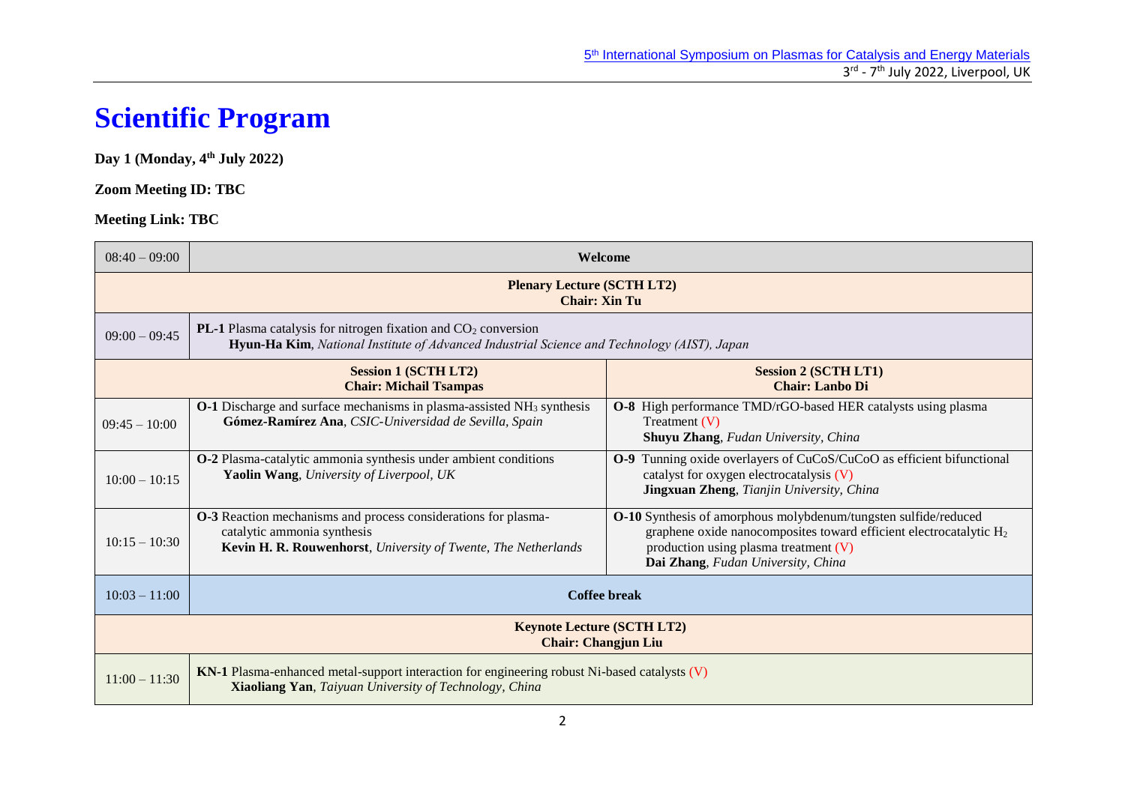# **Scientific Program**

#### **Day 1 (Monday, 4 th July 2022)**

### **Zoom Meeting ID: TBC**

| $08:40 - 09:00$                                                 | Welcome                                                                                                                                                                |                                                                                                                                                                                                                                  |  |  |
|-----------------------------------------------------------------|------------------------------------------------------------------------------------------------------------------------------------------------------------------------|----------------------------------------------------------------------------------------------------------------------------------------------------------------------------------------------------------------------------------|--|--|
|                                                                 | <b>Plenary Lecture (SCTH LT2)</b><br><b>Chair: Xin Tu</b>                                                                                                              |                                                                                                                                                                                                                                  |  |  |
| $09:00 - 09:45$                                                 | <b>PL-1</b> Plasma catalysis for nitrogen fixation and $CO2$ conversion<br>Hyun-Ha Kim, National Institute of Advanced Industrial Science and Technology (AIST), Japan |                                                                                                                                                                                                                                  |  |  |
|                                                                 | <b>Session 1 (SCTH LT2)</b><br><b>Chair: Michail Tsampas</b>                                                                                                           | <b>Session 2 (SCTH LT1)</b><br><b>Chair: Lanbo Di</b>                                                                                                                                                                            |  |  |
| $09:45 - 10:00$                                                 | <b>O-1</b> Discharge and surface mechanisms in plasma-assisted NH <sub>3</sub> synthesis<br>Gómez-Ramírez Ana, CSIC-Universidad de Sevilla, Spain                      | <b>O-8</b> High performance TMD/rGO-based HER catalysts using plasma<br>Treatment $(V)$<br>Shuyu Zhang, Fudan University, China                                                                                                  |  |  |
| $10:00 - 10:15$                                                 | O-2 Plasma-catalytic ammonia synthesis under ambient conditions<br>Yaolin Wang, University of Liverpool, UK                                                            | Tunning oxide overlayers of CuCoS/CuCoO as efficient bifunctional<br>$O-9$<br>catalyst for oxygen electrocatalysis $(V)$<br>Jingxuan Zheng, Tianjin University, China                                                            |  |  |
| $10:15 - 10:30$                                                 | <b>O-3</b> Reaction mechanisms and process considerations for plasma-<br>catalytic ammonia synthesis<br>Kevin H. R. Rouwenhorst, University of Twente, The Netherlands | O-10 Synthesis of amorphous molybdenum/tungsten sulfide/reduced<br>graphene oxide nanocomposites toward efficient electrocatalytic H <sub>2</sub><br>production using plasma treatment (V)<br>Dai Zhang, Fudan University, China |  |  |
| $10:03 - 11:00$                                                 |                                                                                                                                                                        | Coffee break                                                                                                                                                                                                                     |  |  |
| <b>Keynote Lecture (SCTH LT2)</b><br><b>Chair: Changjun Liu</b> |                                                                                                                                                                        |                                                                                                                                                                                                                                  |  |  |
| $11:00 - 11:30$                                                 | KN-1 Plasma-enhanced metal-support interaction for engineering robust Ni-based catalysts (V)<br><b>Xiaoliang Yan</b> , Taiyuan University of Technology, China         |                                                                                                                                                                                                                                  |  |  |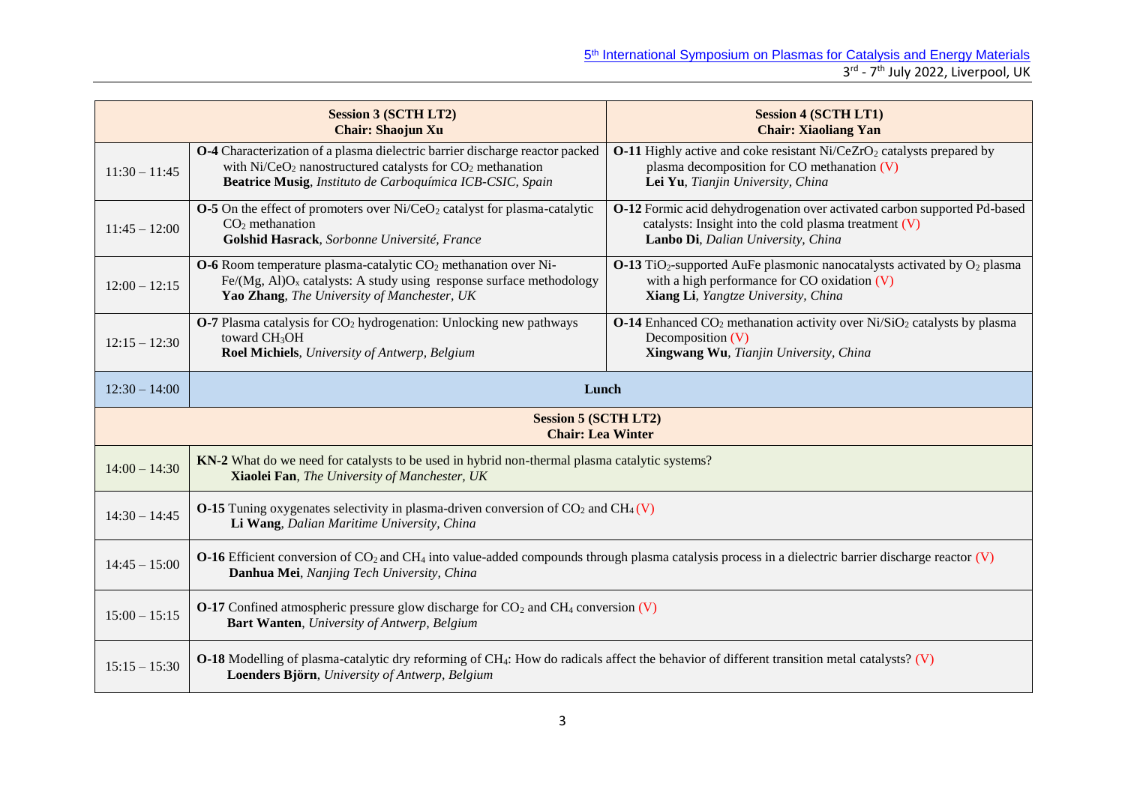|                                                         | <b>Session 3 (SCTH LT2)</b><br><b>Chair: Shaojun Xu</b>                                                                                                                                                       | <b>Session 4 (SCTH LT1)</b><br><b>Chair: Xiaoliang Yan</b>                                                                                                                                    |  |
|---------------------------------------------------------|---------------------------------------------------------------------------------------------------------------------------------------------------------------------------------------------------------------|-----------------------------------------------------------------------------------------------------------------------------------------------------------------------------------------------|--|
| $11:30 - 11:45$                                         | O-4 Characterization of a plasma dielectric barrier discharge reactor packed<br>with $Ni/CeO2$ nanostructured catalysts for $CO2$ methanation<br>Beatrice Musig, Instituto de Carboquímica ICB-CSIC, Spain    | <b>O-11</b> Highly active and coke resistant $Ni/CeZrO2$ catalysts prepared by<br>plasma decomposition for CO methanation $(V)$<br>Lei Yu, Tianjin University, China                          |  |
| $11:45 - 12:00$                                         | <b>O-5</b> On the effect of promoters over $Ni/CeO2$ catalyst for plasma-catalytic<br>$CO2$ methanation<br>Golshid Hasrack, Sorbonne Université, France                                                       | O-12 Formic acid dehydrogenation over activated carbon supported Pd-based<br>catalysts: Insight into the cold plasma treatment $(V)$<br>Lanbo Di, Dalian University, China                    |  |
| $12:00 - 12:15$                                         | $O$ -6 Room temperature plasma-catalytic $CO2$ methanation over Ni-<br>Fe/(Mg, Al)O <sub>x</sub> catalysts: A study using response surface methodology<br>Yao Zhang, The University of Manchester, UK         | $O-13$ TiO <sub>2</sub> -supported AuFe plasmonic nanocatalysts activated by O <sub>2</sub> plasma<br>with a high performance for $CO$ oxidation $(V)$<br>Xiang Li, Yangtze University, China |  |
| $12:15 - 12:30$                                         | <b>O-7</b> Plasma catalysis for CO <sub>2</sub> hydrogenation: Unlocking new pathways<br>toward CH <sub>3</sub> OH<br>Roel Michiels, University of Antwerp, Belgium                                           | <b>O-14</b> Enhanced $CO_2$ methanation activity over $Ni/SiO_2$ catalysts by plasma<br>Decomposition (V)<br>Xingwang Wu, Tianjin University, China                                           |  |
| $12:30 - 14:00$                                         | Lunch                                                                                                                                                                                                         |                                                                                                                                                                                               |  |
| <b>Session 5 (SCTH LT2)</b><br><b>Chair: Lea Winter</b> |                                                                                                                                                                                                               |                                                                                                                                                                                               |  |
| $14:00 - 14:30$                                         | KN-2 What do we need for catalysts to be used in hybrid non-thermal plasma catalytic systems?<br>Xiaolei Fan, The University of Manchester, UK                                                                |                                                                                                                                                                                               |  |
| $14:30 - 14:45$                                         | <b>O-15</b> Tuning oxygenates selectivity in plasma-driven conversion of $CO_2$ and $CH_4(V)$<br>Li Wang, Dalian Maritime University, China                                                                   |                                                                                                                                                                                               |  |
| $14:45 - 15:00$                                         | <b>O-16</b> Efficient conversion of $CO_2$ and $CH_4$ into value-added compounds through plasma catalysis process in a dielectric barrier discharge reactor (V)<br>Danhua Mei, Nanjing Tech University, China |                                                                                                                                                                                               |  |
| $15:00 - 15:15$                                         | <b>O-17</b> Confined atmospheric pressure glow discharge for $CO_2$ and $CH_4$ conversion $(V)$<br>Bart Wanten, University of Antwerp, Belgium                                                                |                                                                                                                                                                                               |  |
| $15:15 - 15:30$                                         | O-18 Modelling of plasma-catalytic dry reforming of CH <sub>4</sub> : How do radicals affect the behavior of different transition metal catalysts? (V)<br>Loenders Björn, University of Antwerp, Belgium      |                                                                                                                                                                                               |  |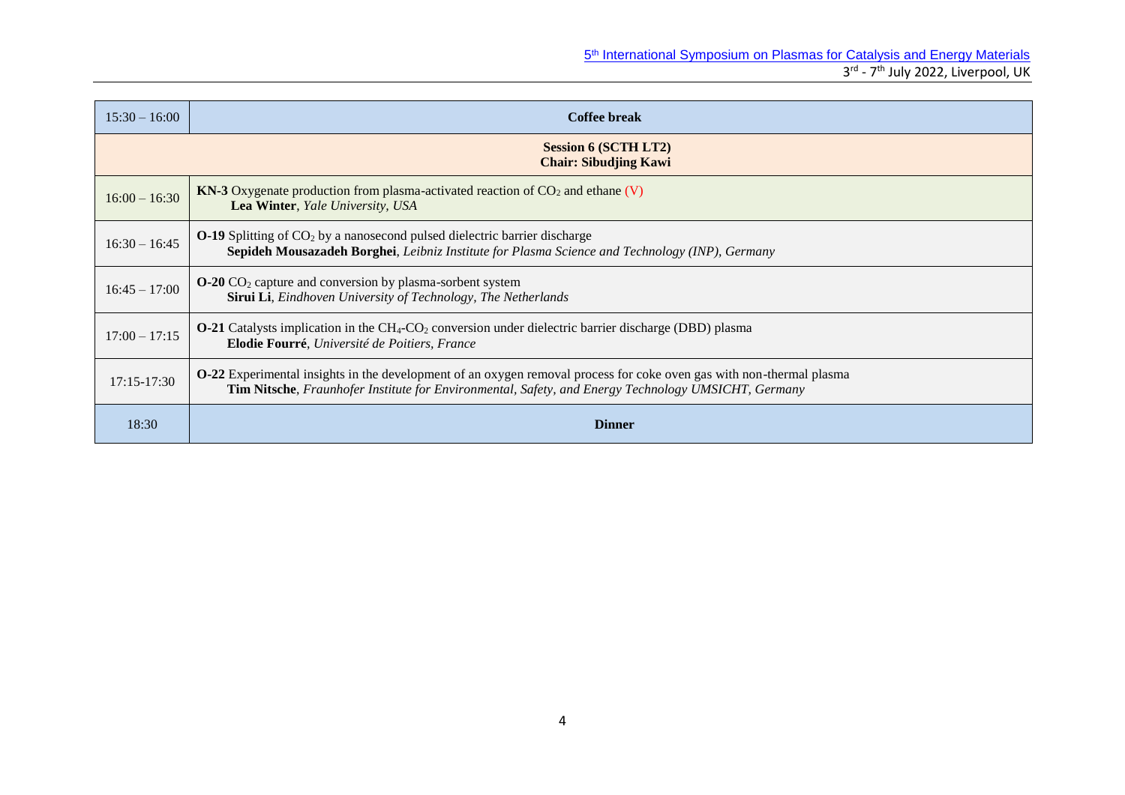| $15:30 - 16:00$ | <b>Coffee break</b>                                                                                                                                                                                                                |  |  |
|-----------------|------------------------------------------------------------------------------------------------------------------------------------------------------------------------------------------------------------------------------------|--|--|
|                 | <b>Session 6 (SCTH LT2)</b><br><b>Chair: Sibudjing Kawi</b>                                                                                                                                                                        |  |  |
| $16:00 - 16:30$ | <b>KN-3</b> Oxygenate production from plasma-activated reaction of $CO2$ and ethane (V)<br>Lea Winter, Yale University, USA                                                                                                        |  |  |
| $16:30 - 16:45$ | $O-19$ Splitting of $CO2$ by a nanosecond pulsed dielectric barrier discharge<br>Sepideh Mousazadeh Borghei, Leibniz Institute for Plasma Science and Technology (INP), Germany                                                    |  |  |
| $16:45 - 17:00$ | $O-20$ CO <sub>2</sub> capture and conversion by plasma-sorbent system<br><b>Sirui Li</b> , Eindhoven University of Technology, The Netherlands                                                                                    |  |  |
| $17:00 - 17:15$ | <b>O-21</b> Catalysts implication in the CH <sub>4</sub> -CO <sub>2</sub> conversion under dielectric barrier discharge (DBD) plasma<br>Elodie Fourré, Université de Poitiers, France                                              |  |  |
| $17:15 - 17:30$ | <b>O-22</b> Experimental insights in the development of an oxygen removal process for coke oven gas with non-thermal plasma<br>Tim Nitsche, Fraunhofer Institute for Environmental, Safety, and Energy Technology UMSICHT, Germany |  |  |
| 18:30           | <b>Dinner</b>                                                                                                                                                                                                                      |  |  |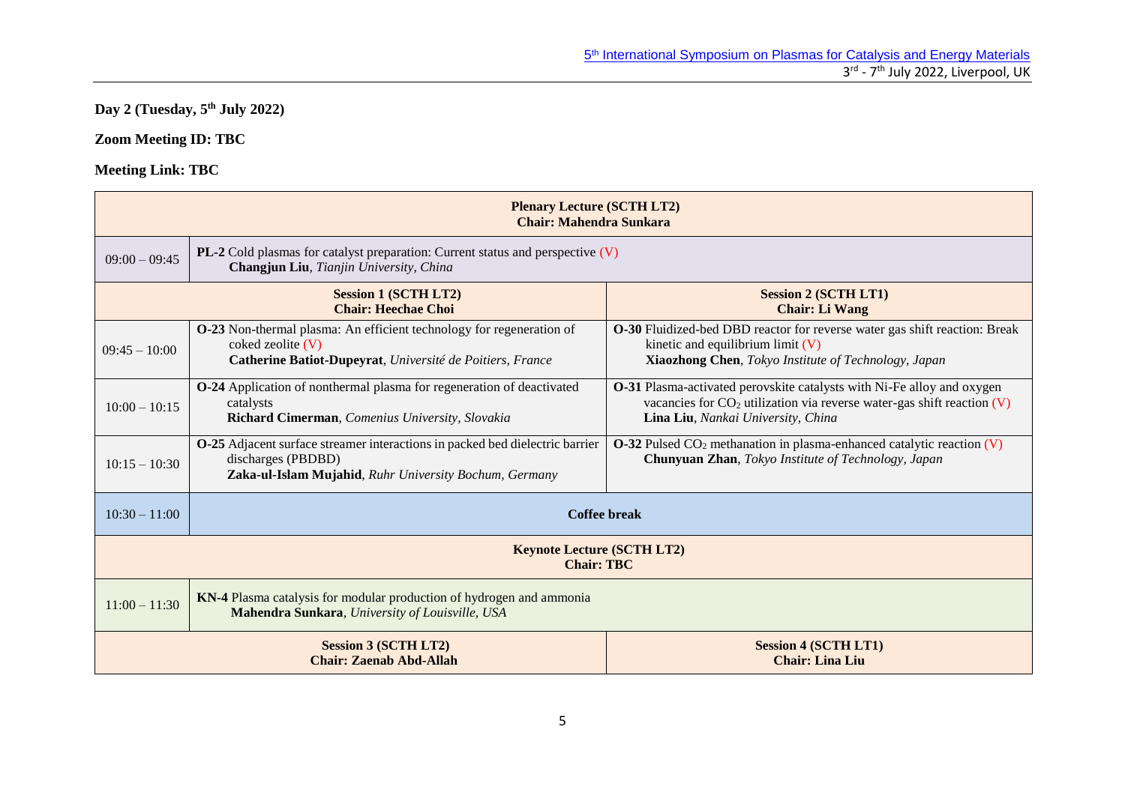## **Day 2 (Tuesday, 5th July 2022)**

## **Zoom Meeting ID: TBC**

| <b>Plenary Lecture (SCTH LT2)</b><br><b>Chair: Mahendra Sunkara</b> |                                                                                                                                                              |                                                                                                                                                                                          |  |  |
|---------------------------------------------------------------------|--------------------------------------------------------------------------------------------------------------------------------------------------------------|------------------------------------------------------------------------------------------------------------------------------------------------------------------------------------------|--|--|
| $09:00 - 09:45$                                                     | <b>PL-2</b> Cold plasmas for catalyst preparation: Current status and perspective $(V)$<br>Changjun Liu, Tianjin University, China                           |                                                                                                                                                                                          |  |  |
|                                                                     | <b>Session 1 (SCTH LT2)</b><br><b>Session 2 (SCTH LT1)</b><br><b>Chair: Heechae Choi</b><br><b>Chair: Li Wang</b>                                            |                                                                                                                                                                                          |  |  |
| $09:45 - 10:00$                                                     | O-23 Non-thermal plasma: An efficient technology for regeneration of<br>coked zeolite $(V)$<br>Catherine Batiot-Dupeyrat, Université de Poitiers, France     | O-30 Fluidized-bed DBD reactor for reverse water gas shift reaction: Break<br>kinetic and equilibrium limit $(V)$<br>Xiaozhong Chen, Tokyo Institute of Technology, Japan                |  |  |
| $10:00 - 10:15$                                                     | O-24 Application of nonthermal plasma for regeneration of deactivated<br>catalysts<br>Richard Cimerman, Comenius University, Slovakia                        | O-31 Plasma-activated perovskite catalysts with Ni-Fe alloy and oxygen<br>vacancies for $CO2$ utilization via reverse water-gas shift reaction (V)<br>Lina Liu, Nankai University, China |  |  |
| $10:15 - 10:30$                                                     | O-25 Adjacent surface streamer interactions in packed bed dielectric barrier<br>discharges (PBDBD)<br>Zaka-ul-Islam Mujahid, Ruhr University Bochum, Germany | <b>O-32</b> Pulsed $CO_2$ methanation in plasma-enhanced catalytic reaction $(V)$<br>Chunyuan Zhan, Tokyo Institute of Technology, Japan                                                 |  |  |
| $10:30 - 11:00$                                                     | <b>Coffee break</b>                                                                                                                                          |                                                                                                                                                                                          |  |  |
| <b>Keynote Lecture (SCTH LT2)</b><br><b>Chair: TBC</b>              |                                                                                                                                                              |                                                                                                                                                                                          |  |  |
| $11:00 - 11:30$                                                     | KN-4 Plasma catalysis for modular production of hydrogen and ammonia<br>Mahendra Sunkara, University of Louisville, USA                                      |                                                                                                                                                                                          |  |  |
|                                                                     | <b>Session 3 (SCTH LT2)</b><br><b>Session 4 (SCTH LT1)</b><br><b>Chair: Zaenab Abd-Allah</b><br><b>Chair: Lina Liu</b>                                       |                                                                                                                                                                                          |  |  |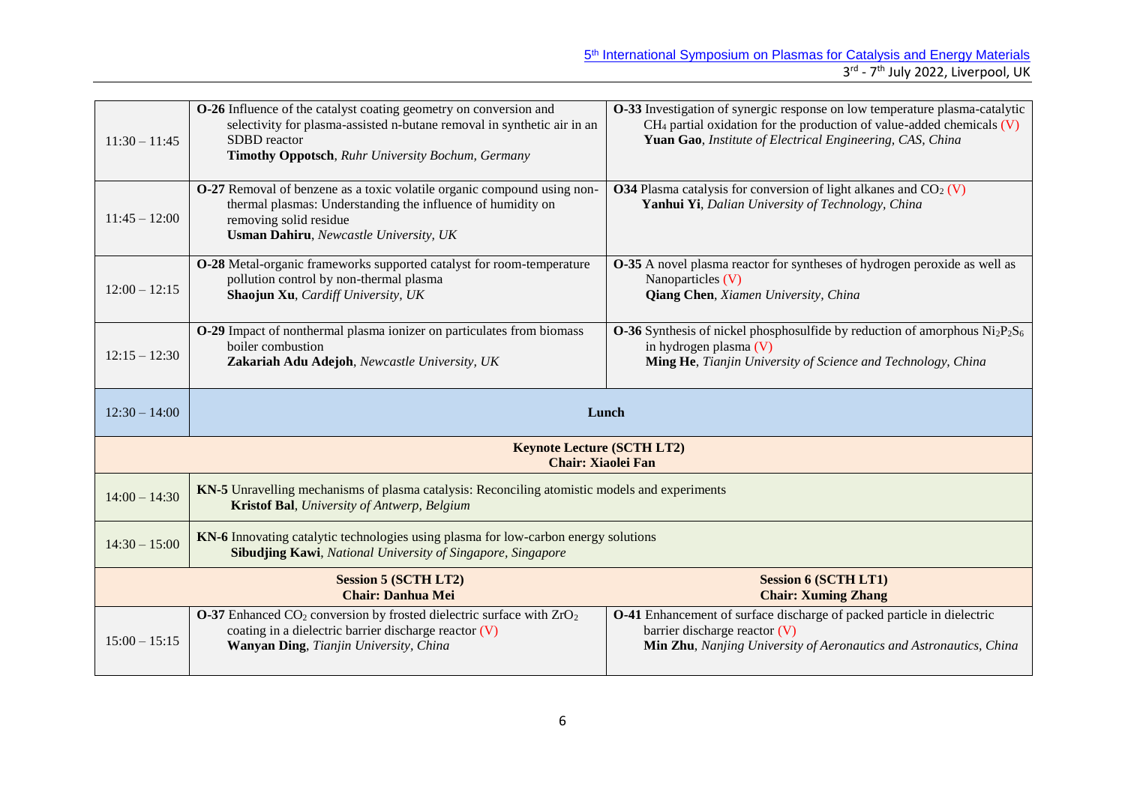| $11:30 - 11:45$ | <b>O-26</b> Influence of the catalyst coating geometry on conversion and<br>selectivity for plasma-assisted n-butane removal in synthetic air in an<br>SDBD reactor<br>Timothy Oppotsch, Ruhr University Bochum, Germany | O-33 Investigation of synergic response on low temperature plasma-catalytic<br>$CH_4$ partial oxidation for the production of value-added chemicals $(V)$<br>Yuan Gao, Institute of Electrical Engineering, CAS, China |
|-----------------|--------------------------------------------------------------------------------------------------------------------------------------------------------------------------------------------------------------------------|------------------------------------------------------------------------------------------------------------------------------------------------------------------------------------------------------------------------|
| $11:45 - 12:00$ | O-27 Removal of benzene as a toxic volatile organic compound using non-<br>thermal plasmas: Understanding the influence of humidity on<br>removing solid residue<br><b>Usman Dahiru</b> , Newcastle University, UK       | <b>O34</b> Plasma catalysis for conversion of light alkanes and $CO2$ (V)<br>Yanhui Yi, Dalian University of Technology, China                                                                                         |
| $12:00 - 12:15$ | O-28 Metal-organic frameworks supported catalyst for room-temperature<br>pollution control by non-thermal plasma<br>Shaojun Xu, Cardiff University, UK                                                                   | <b>O-35</b> A novel plasma reactor for syntheses of hydrogen peroxide as well as<br>Nanoparticles (V)<br>Qiang Chen, Xiamen University, China                                                                          |
| $12:15 - 12:30$ | O-29 Impact of nonthermal plasma ionizer on particulates from biomass<br>boiler combustion<br>Zakariah Adu Adejoh, Newcastle University, UK                                                                              | <b>O-36</b> Synthesis of nickel phosphosulfide by reduction of amorphous $Ni2P2S6$<br>in hydrogen plasma (V)<br>Ming He, Tianjin University of Science and Technology, China                                           |
|                 |                                                                                                                                                                                                                          |                                                                                                                                                                                                                        |
| $12:30 - 14:00$ | Lunch                                                                                                                                                                                                                    |                                                                                                                                                                                                                        |
|                 | <b>Keynote Lecture (SCTH LT2)</b><br><b>Chair: Xiaolei Fan</b>                                                                                                                                                           |                                                                                                                                                                                                                        |
| $14:00 - 14:30$ | KN-5 Unravelling mechanisms of plasma catalysis: Reconciling atomistic models and experiments<br>Kristof Bal, University of Antwerp, Belgium                                                                             |                                                                                                                                                                                                                        |
| $14:30 - 15:00$ | KN-6 Innovating catalytic technologies using plasma for low-carbon energy solutions<br><b>Sibudjing Kawi</b> , National University of Singapore, Singapore                                                               |                                                                                                                                                                                                                        |
|                 | <b>Session 5 (SCTH LT2)</b><br><b>Chair: Danhua Mei</b>                                                                                                                                                                  | <b>Session 6 (SCTH LT1)</b><br><b>Chair: Xuming Zhang</b>                                                                                                                                                              |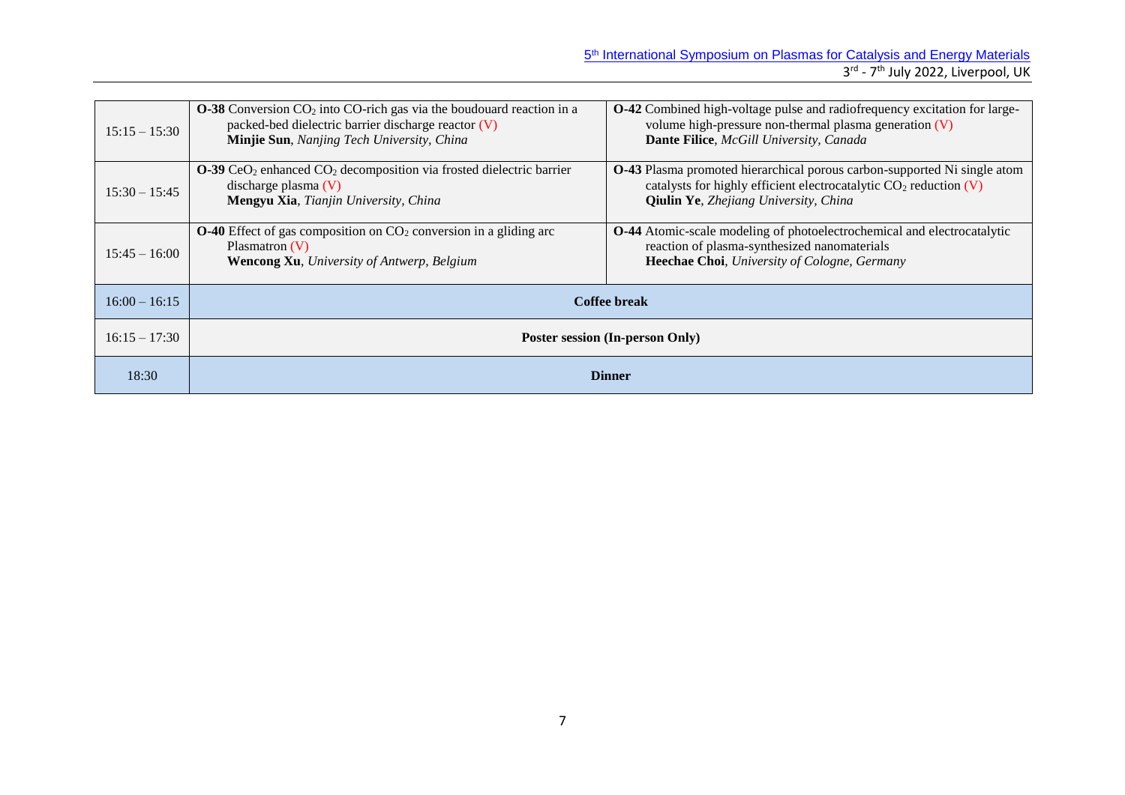| $15:15 - 15:30$ | <b>O-38</b> Conversion $CO_2$ into CO-rich gas via the boudouard reaction in a<br>packed-bed dielectric barrier discharge reactor (V)<br>Minjie Sun, Nanjing Tech University, China | <b>O-42</b> Combined high-voltage pulse and radiofrequency excitation for large-<br>volume high-pressure non-thermal plasma generation (V)<br>Dante Filice, McGill University, Canada                   |  |
|-----------------|-------------------------------------------------------------------------------------------------------------------------------------------------------------------------------------|---------------------------------------------------------------------------------------------------------------------------------------------------------------------------------------------------------|--|
| $15:30 - 15:45$ | $O-39$ CeO <sub>2</sub> enhanced CO <sub>2</sub> decomposition via frosted dielectric barrier<br>discharge plasma $(V)$<br>Mengyu Xia, Tianjin University, China                    | <b>O-43</b> Plasma promoted hierarchical porous carbon-supported Ni single atom<br>catalysts for highly efficient electrocatalytic $CO2$ reduction (V)<br><b>Qiulin Ye</b> , Zhejiang University, China |  |
| $15:45 - 16:00$ | <b>O-40</b> Effect of gas composition on $CO2$ conversion in a gliding arc<br>Plasmatron $(V)$<br><b>Wencong Xu</b> , University of Antwerp, Belgium                                | O-44 Atomic-scale modeling of photoelectrochemical and electrocatalytic<br>reaction of plasma-synthesized nanomaterials<br>Heechae Choi, University of Cologne, Germany                                 |  |
| $16:00 - 16:15$ |                                                                                                                                                                                     | Coffee break                                                                                                                                                                                            |  |
| $16:15 - 17:30$ | <b>Poster session (In-person Only)</b>                                                                                                                                              |                                                                                                                                                                                                         |  |
| 18:30           |                                                                                                                                                                                     | <b>Dinner</b>                                                                                                                                                                                           |  |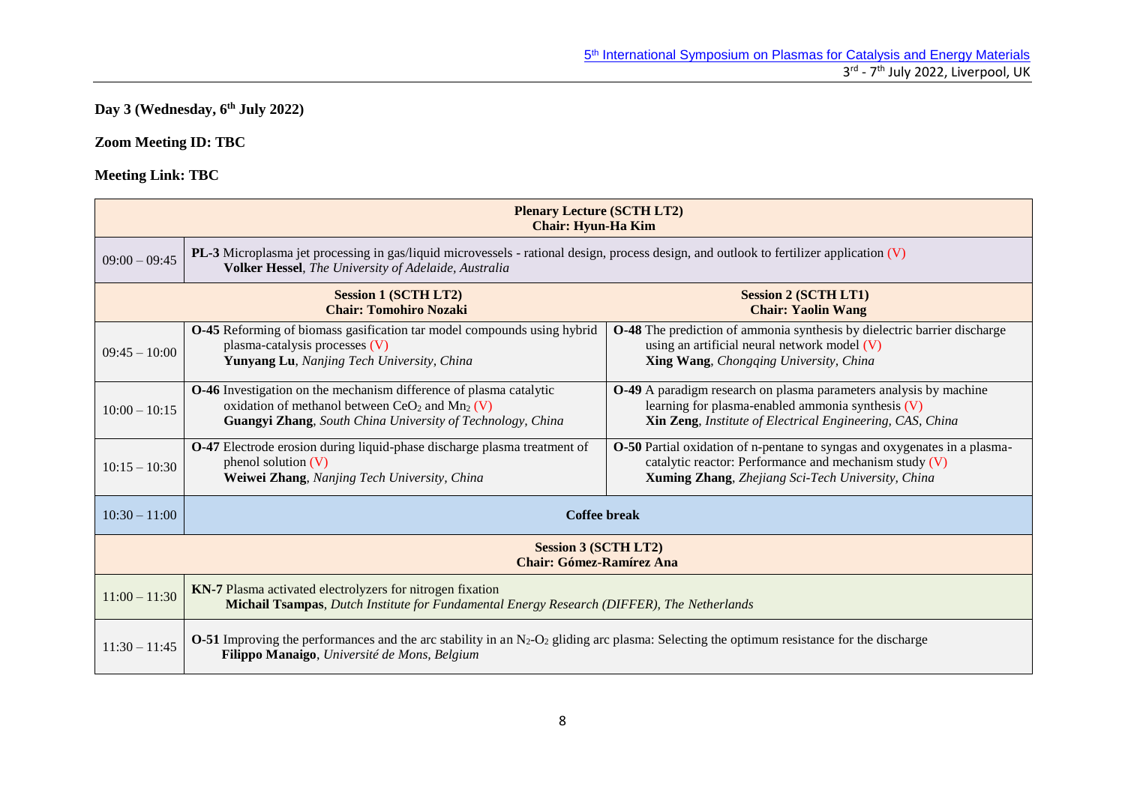## **Day 3 (Wednesday, 6th July 2022)**

## **Zoom Meeting ID: TBC**

| <b>Plenary Lecture (SCTH LT2)</b><br><b>Chair: Hyun-Ha Kim</b> |                                                                                                                                                                                                                 |                                                                                                                                                                                                 |  |  |
|----------------------------------------------------------------|-----------------------------------------------------------------------------------------------------------------------------------------------------------------------------------------------------------------|-------------------------------------------------------------------------------------------------------------------------------------------------------------------------------------------------|--|--|
| $09:00 - 09:45$                                                | <b>PL-3</b> Microplasma jet processing in gas/liquid microvessels - rational design, process design, and outlook to fertilizer application (V)<br><b>Volker Hessel</b> , The University of Adelaide, Australia  |                                                                                                                                                                                                 |  |  |
|                                                                | <b>Session 1 (SCTH LT2)</b><br><b>Chair: Tomohiro Nozaki</b>                                                                                                                                                    | <b>Session 2 (SCTH LT1)</b><br><b>Chair: Yaolin Wang</b>                                                                                                                                        |  |  |
| $09:45 - 10:00$                                                | <b>O-45</b> Reforming of biomass gasification tar model compounds using hybrid<br>plasma-catalysis processes (V)<br>Yunyang Lu, Nanjing Tech University, China                                                  | <b>O-48</b> The prediction of ammonia synthesis by dielectric barrier discharge<br>using an artificial neural network model (V)<br>Xing Wang, Chongqing University, China                       |  |  |
| $10:00 - 10:15$                                                | <b>O-46</b> Investigation on the mechanism difference of plasma catalytic<br>oxidation of methanol between $CeO2$ and $Mn2$ (V)<br>Guangyi Zhang, South China University of Technology, China                   | O-49 A paradigm research on plasma parameters analysis by machine<br>learning for plasma-enabled ammonia synthesis $(V)$<br>Xin Zeng, Institute of Electrical Engineering, CAS, China           |  |  |
| $10:15 - 10:30$                                                | <b>O-47</b> Electrode erosion during liquid-phase discharge plasma treatment of<br>phenol solution $(V)$<br>Weiwei Zhang, Nanjing Tech University, China                                                        | <b>O-50</b> Partial oxidation of n-pentane to syngas and oxygenates in a plasma-<br>catalytic reactor: Performance and mechanism study (V)<br>Xuming Zhang, Zhejiang Sci-Tech University, China |  |  |
| $10:30 - 11:00$                                                | <b>Coffee break</b>                                                                                                                                                                                             |                                                                                                                                                                                                 |  |  |
| <b>Session 3 (SCTH LT2)</b><br><b>Chair: Gómez-Ramírez Ana</b> |                                                                                                                                                                                                                 |                                                                                                                                                                                                 |  |  |
| $11:00 - 11:30$                                                | KN-7 Plasma activated electrolyzers for nitrogen fixation<br><b>Michail Tsampas, Dutch Institute for Fundamental Energy Research (DIFFER), The Netherlands</b>                                                  |                                                                                                                                                                                                 |  |  |
| $11:30 - 11:45$                                                | <b>O-51</b> Improving the performances and the arc stability in an $N_2$ -O <sub>2</sub> gliding arc plasma: Selecting the optimum resistance for the discharge<br>Filippo Manaigo, Université de Mons, Belgium |                                                                                                                                                                                                 |  |  |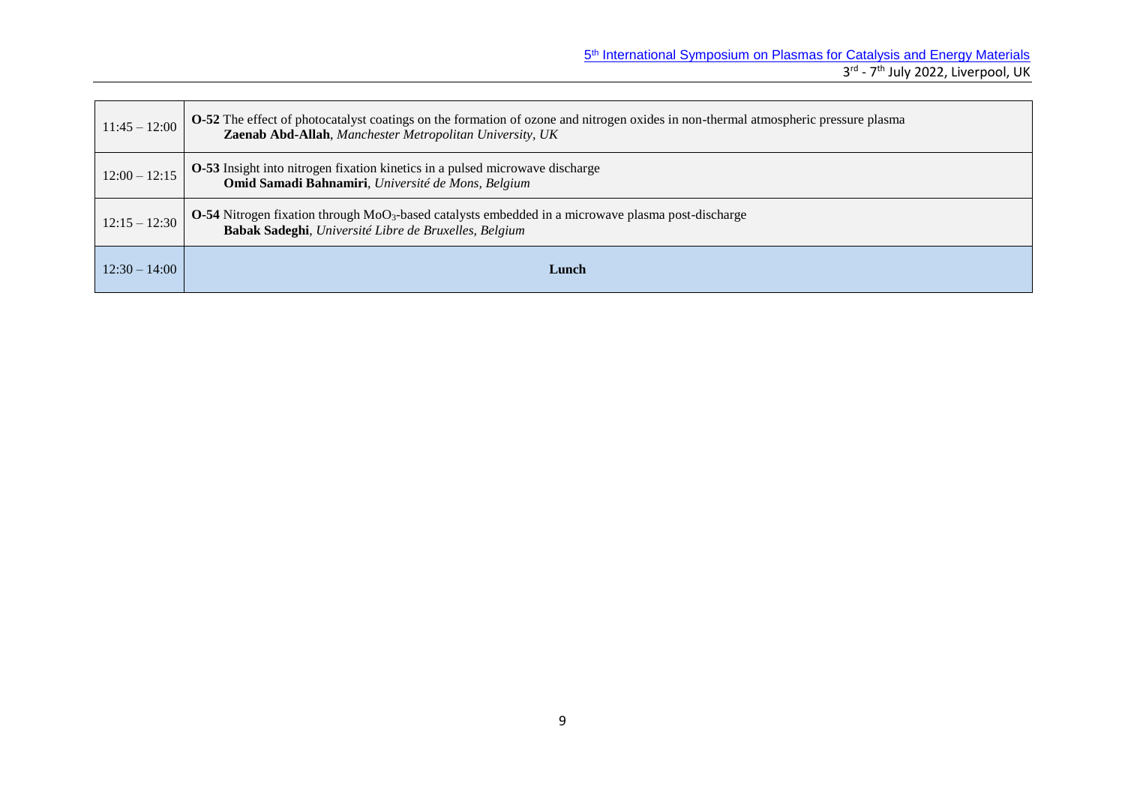| $11:45 - 12:00$ | <b>O-52</b> The effect of photocatalyst coatings on the formation of ozone and nitrogen oxides in non-thermal atmospheric pressure plasma<br>Zaenab Abd-Allah, Manchester Metropolitan University, UK |  |
|-----------------|-------------------------------------------------------------------------------------------------------------------------------------------------------------------------------------------------------|--|
| $12:00 - 12:15$ | <b>O-53</b> Insight into nitrogen fixation kinetics in a pulsed microwave discharge<br>Omid Samadi Bahnamiri, Université de Mons, Belgium                                                             |  |
| $12:15 - 12:30$ | <b>O-54</b> Nitrogen fixation through MoO <sub>3</sub> -based catalysts embedded in a microwave plasma post-discharge<br>Babak Sadeghi, Université Libre de Bruxelles, Belgium                        |  |
| $12:30 - 14:00$ | Lunch                                                                                                                                                                                                 |  |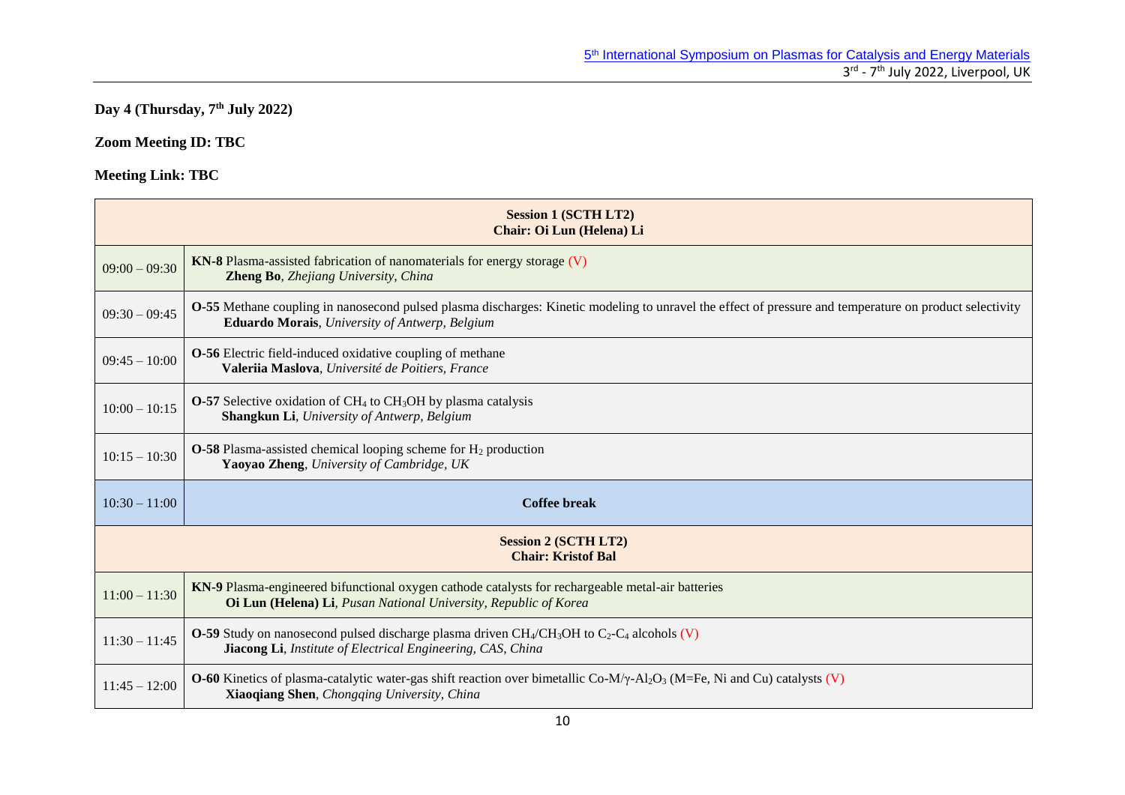#### **Day 4 (Thursday, 7 th July 2022)**

## **Zoom Meeting ID: TBC**

|                                                          | <b>Session 1 (SCTH LT2)</b><br>Chair: Oi Lun (Helena) Li                                                                                                                                                                 |  |
|----------------------------------------------------------|--------------------------------------------------------------------------------------------------------------------------------------------------------------------------------------------------------------------------|--|
| $09:00 - 09:30$                                          | KN-8 Plasma-assisted fabrication of nanomaterials for energy storage (V)<br>Zheng Bo, Zhejiang University, China                                                                                                         |  |
| $09:30 - 09:45$                                          | <b>O-55</b> Methane coupling in nanosecond pulsed plasma discharges: Kinetic modeling to unravel the effect of pressure and temperature on product selectivity<br><b>Eduardo Morais</b> , University of Antwerp, Belgium |  |
| $09:45 - 10:00$                                          | <b>O-56</b> Electric field-induced oxidative coupling of methane<br>Valeriia Maslova, Université de Poitiers, France                                                                                                     |  |
| $10:00 - 10:15$                                          | $O-57$ Selective oxidation of CH <sub>4</sub> to CH <sub>3</sub> OH by plasma catalysis<br>Shangkun Li, University of Antwerp, Belgium                                                                                   |  |
| $10:15 - 10:30$                                          | <b>O-58</b> Plasma-assisted chemical looping scheme for $H_2$ production<br>Yaoyao Zheng, University of Cambridge, UK                                                                                                    |  |
| $10:30 - 11:00$                                          | <b>Coffee break</b>                                                                                                                                                                                                      |  |
| <b>Session 2 (SCTH LT2)</b><br><b>Chair: Kristof Bal</b> |                                                                                                                                                                                                                          |  |
| $11:00 - 11:30$                                          | KN-9 Plasma-engineered bifunctional oxygen cathode catalysts for rechargeable metal-air batteries<br>Oi Lun (Helena) Li, Pusan National University, Republic of Korea                                                    |  |
| $11:30 - 11:45$                                          | <b>O-59</b> Study on nanosecond pulsed discharge plasma driven $CH_4/CH_3OH$ to $C_2-C_4$ alcohols (V)<br>Jiacong Li, Institute of Electrical Engineering, CAS, China                                                    |  |
| $11:45 - 12:00$                                          | <b>O-60</b> Kinetics of plasma-catalytic water-gas shift reaction over bimetallic Co-M/ $\gamma$ -Al <sub>2</sub> O <sub>3</sub> (M=Fe, Ni and Cu) catalysts (V)<br>Xiaoqiang Shen, Chongqing University, China          |  |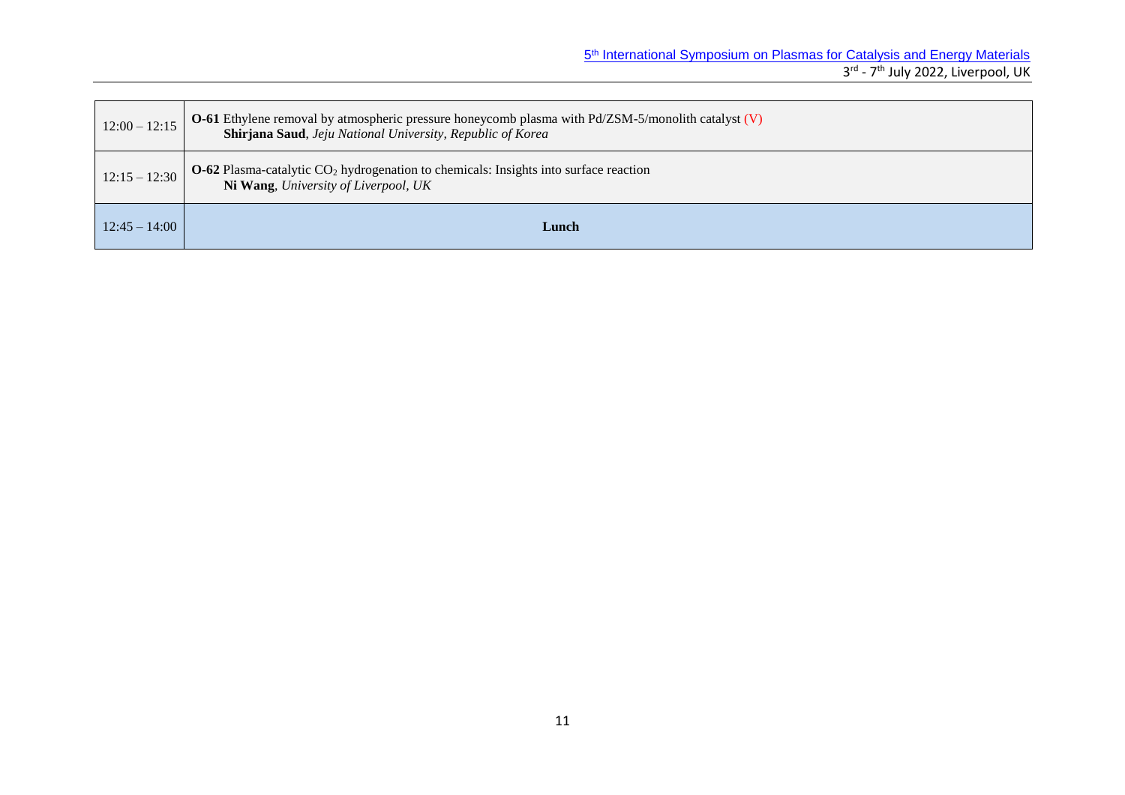| $12:00 - 12:15$ | <b>O-61</b> Ethylene removal by atmospheric pressure honeycomb plasma with $Pd/ZSM-5/m$ onlith catalyst (V)<br>Shirjana Saud, Jeju National University, Republic of Korea |
|-----------------|---------------------------------------------------------------------------------------------------------------------------------------------------------------------------|
| $12:15 - 12:30$ | $O$ -62 Plasma-catalytic $CO2$ hydrogenation to chemicals: Insights into surface reaction<br>Ni Wang, University of Liverpool, UK                                         |
| $12:45 - 14:00$ | Lunch                                                                                                                                                                     |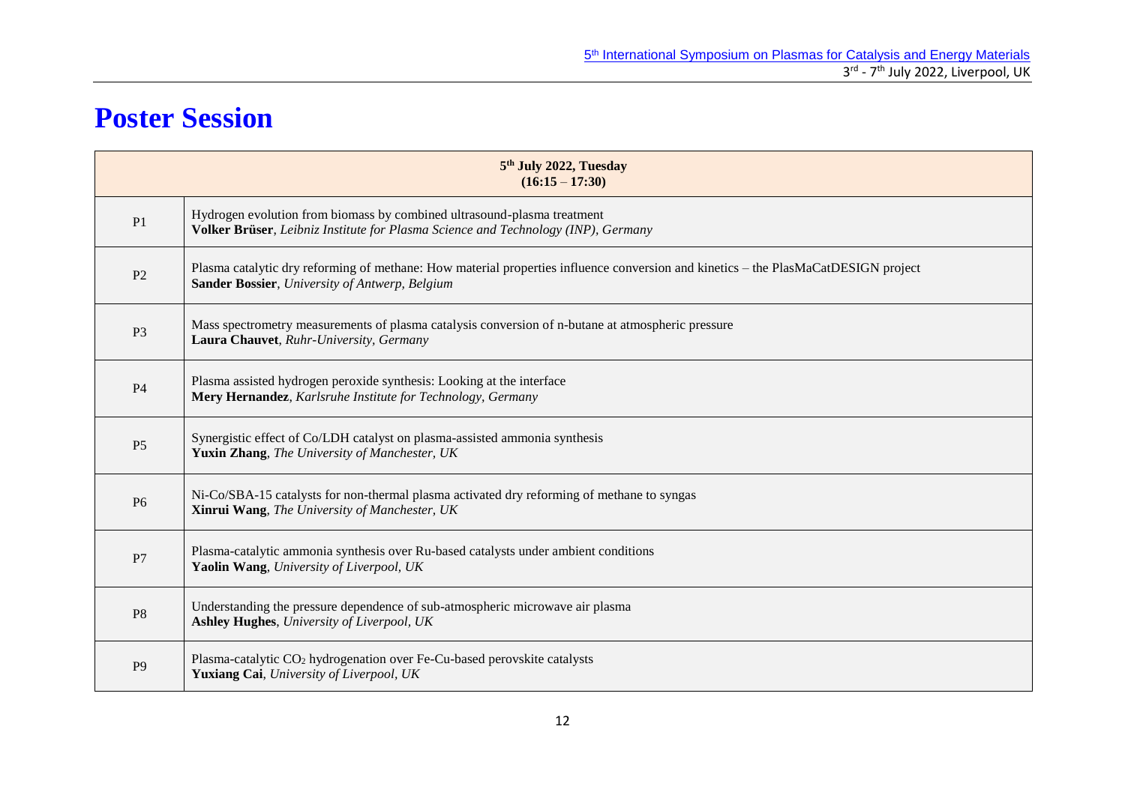## **Poster Session**

|                | 5 <sup>th</sup> July 2022, Tuesday<br>$(16:15 - 17:30)$                                                                                                                              |
|----------------|--------------------------------------------------------------------------------------------------------------------------------------------------------------------------------------|
| P <sub>1</sub> | Hydrogen evolution from biomass by combined ultrasound-plasma treatment<br>Volker Brüser, Leibniz Institute for Plasma Science and Technology (INP), Germany                         |
| P <sub>2</sub> | Plasma catalytic dry reforming of methane: How material properties influence conversion and kinetics - the PlasMaCatDESIGN project<br>Sander Bossier, University of Antwerp, Belgium |
| P <sub>3</sub> | Mass spectrometry measurements of plasma catalysis conversion of n-butane at atmospheric pressure<br>Laura Chauvet, Ruhr-University, Germany                                         |
| <b>P4</b>      | Plasma assisted hydrogen peroxide synthesis: Looking at the interface<br>Mery Hernandez, Karlsruhe Institute for Technology, Germany                                                 |
| P <sub>5</sub> | Synergistic effect of Co/LDH catalyst on plasma-assisted ammonia synthesis<br>Yuxin Zhang, The University of Manchester, UK                                                          |
| P <sub>6</sub> | Ni-Co/SBA-15 catalysts for non-thermal plasma activated dry reforming of methane to syngas<br>Xinrui Wang, The University of Manchester, UK                                          |
| P7             | Plasma-catalytic ammonia synthesis over Ru-based catalysts under ambient conditions<br>Yaolin Wang, University of Liverpool, UK                                                      |
| P <sub>8</sub> | Understanding the pressure dependence of sub-atmospheric microwave air plasma<br>Ashley Hughes, University of Liverpool, UK                                                          |
| P <sub>9</sub> | Plasma-catalytic CO <sub>2</sub> hydrogenation over Fe-Cu-based perovskite catalysts<br>Yuxiang Cai, University of Liverpool, UK                                                     |